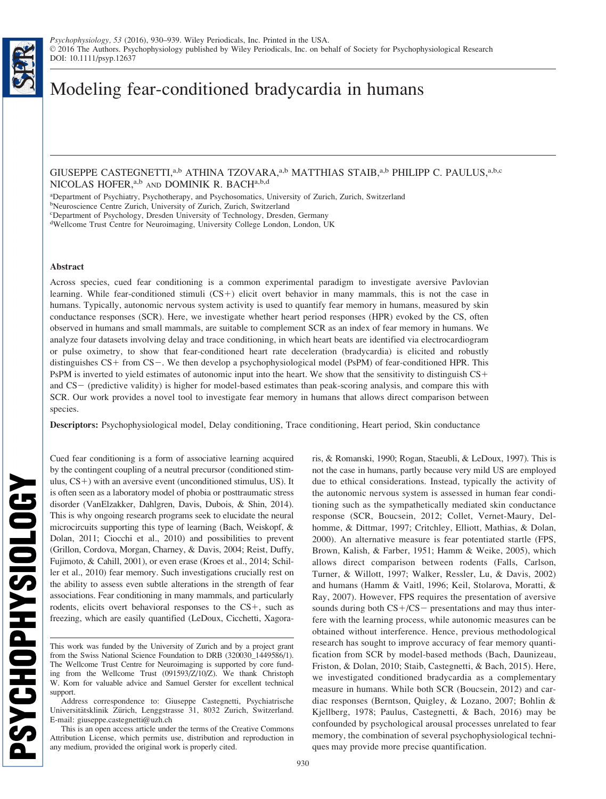# Modeling fear-conditioned bradycardia in humans

GIUSEPPE CASTEGNETTI,<sup>a,b</sup> ATHINA TZOVARA,<sup>a,b</sup> MATTHIAS STAIB,<sup>a,b</sup> PHILIPP C. PAULUS,<sup>a,b,c</sup> NICOLAS HOFER, a,b AND DOMINIK R. BACHa,b,d

a Department of Psychiatry, Psychotherapy, and Psychosomatics, University of Zurich, Zurich, Switzerland

b Neuroscience Centre Zurich, University of Zurich, Zurich, Switzerland

c Department of Psychology, Dresden University of Technology, Dresden, Germany

d Wellcome Trust Centre for Neuroimaging, University College London, London, UK

## Abstract

Across species, cued fear conditioning is a common experimental paradigm to investigate aversive Pavlovian learning. While fear-conditioned stimuli  $(CS+)$  elicit overt behavior in many mammals, this is not the case in humans. Typically, autonomic nervous system activity is used to quantify fear memory in humans, measured by skin conductance responses (SCR). Here, we investigate whether heart period responses (HPR) evoked by the CS, often observed in humans and small mammals, are suitable to complement SCR as an index of fear memory in humans. We analyze four datasets involving delay and trace conditioning, in which heart beats are identified via electrocardiogram or pulse oximetry, to show that fear-conditioned heart rate deceleration (bradycardia) is elicited and robustly distinguishes CS+ from CS-. We then develop a psychophysiological model (PsPM) of fear-conditioned HPR. This PsPM is inverted to yield estimates of autonomic input into the heart. We show that the sensitivity to distinguish CS+ and  $CS-$  (predictive validity) is higher for model-based estimates than peak-scoring analysis, and compare this with SCR. Our work provides a novel tool to investigate fear memory in humans that allows direct comparison between species.

Descriptors: Psychophysiological model, Delay conditioning, Trace conditioning, Heart period, Skin conductance

Cued fear conditioning is a form of associative learning acquired by the contingent coupling of a neutral precursor (conditioned stimulus,  $CS+$ ) with an aversive event (unconditioned stimulus, US). It is often seen as a laboratory model of phobia or posttraumatic stress disorder (VanElzakker, Dahlgren, Davis, Dubois, & Shin, 2014). This is why ongoing research programs seek to elucidate the neural microcircuits supporting this type of learning (Bach, Weiskopf, & Dolan, 2011; Ciocchi et al., 2010) and possibilities to prevent (Grillon, Cordova, Morgan, Charney, & Davis, 2004; Reist, Duffy, Fujimoto, & Cahill, 2001), or even erase (Kroes et al., 2014; Schiller et al., 2010) fear memory. Such investigations crucially rest on the ability to assess even subtle alterations in the strength of fear associations. Fear conditioning in many mammals, and particularly rodents, elicits overt behavioral responses to the  $CS<sub>+</sub>$ , such as freezing, which are easily quantified (LeDoux, Cicchetti, Xagoraris, & Romanski, 1990; Rogan, Staeubli, & LeDoux, 1997). This is not the case in humans, partly because very mild US are employed due to ethical considerations. Instead, typically the activity of the autonomic nervous system is assessed in human fear conditioning such as the sympathetically mediated skin conductance response (SCR, Boucsein, 2012; Collet, Vernet-Maury, Delhomme, & Dittmar, 1997; Critchley, Elliott, Mathias, & Dolan, 2000). An alternative measure is fear potentiated startle (FPS, Brown, Kalish, & Farber, 1951; Hamm & Weike, 2005), which allows direct comparison between rodents (Falls, Carlson, Turner, & Willott, 1997; Walker, Ressler, Lu, & Davis, 2002) and humans (Hamm & Vaitl, 1996; Keil, Stolarova, Moratti, & Ray, 2007). However, FPS requires the presentation of aversive sounds during both  $CS + / CS -$  presentations and may thus interfere with the learning process, while autonomic measures can be obtained without interference. Hence, previous methodological research has sought to improve accuracy of fear memory quantification from SCR by model-based methods (Bach, Daunizeau, Friston, & Dolan, 2010; Staib, Castegnetti, & Bach, 2015). Here, we investigated conditioned bradycardia as a complementary measure in humans. While both SCR (Boucsein, 2012) and cardiac responses (Berntson, Quigley, & Lozano, 2007; Bohlin & Kjellberg, 1978; Paulus, Castegnetti, & Bach, 2016) may be confounded by psychological arousal processes unrelated to fear memory, the combination of several psychophysiological techniques may provide more precise quantification.

This work was funded by the University of Zurich and by a project grant from the Swiss National Science Foundation to DRB (320030\_1449586/1). The Wellcome Trust Centre for Neuroimaging is supported by core funding from the Wellcome Trust (091593/Z/10/Z). We thank Christoph W. Korn for valuable advice and Samuel Gerster for excellent technical support.

Address correspondence to: Giuseppe Castegnetti, Psychiatrische Universitätsklinik Zürich, Lenggstrasse 31, 8032 Zurich, Switzerland. E-mail: giuseppe.castegnetti@uzh.ch

This is an open access article under the terms of the [Creative Commons](http://creativecommons.org/licenses/by/4.0/) [Attribution](http://creativecommons.org/licenses/by/4.0/) License, which permits use, distribution and reproduction in any medium, provided the original work is properly cited.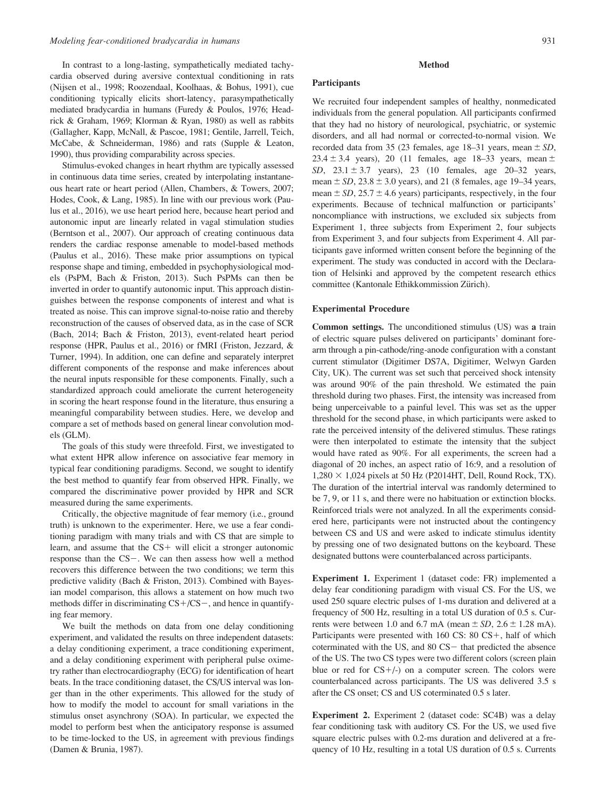In contrast to a long-lasting, sympathetically mediated tachycardia observed during aversive contextual conditioning in rats (Nijsen et al., 1998; Roozendaal, Koolhaas, & Bohus, 1991), cue conditioning typically elicits short-latency, parasympathetically mediated bradycardia in humans (Furedy & Poulos, 1976; Headrick & Graham, 1969; Klorman & Ryan, 1980) as well as rabbits (Gallagher, Kapp, McNall, & Pascoe, 1981; Gentile, Jarrell, Teich, McCabe, & Schneiderman, 1986) and rats (Supple & Leaton, 1990), thus providing comparability across species.

Stimulus-evoked changes in heart rhythm are typically assessed in continuous data time series, created by interpolating instantaneous heart rate or heart period (Allen, Chambers, & Towers, 2007; Hodes, Cook, & Lang, 1985). In line with our previous work (Paulus et al., 2016), we use heart period here, because heart period and autonomic input are linearly related in vagal stimulation studies (Berntson et al., 2007). Our approach of creating continuous data renders the cardiac response amenable to model-based methods (Paulus et al., 2016). These make prior assumptions on typical response shape and timing, embedded in psychophysiological models (PsPM, Bach & Friston, 2013). Such PsPMs can then be inverted in order to quantify autonomic input. This approach distinguishes between the response components of interest and what is treated as noise. This can improve signal-to-noise ratio and thereby reconstruction of the causes of observed data, as in the case of SCR (Bach, 2014; Bach & Friston, 2013), event-related heart period response (HPR, Paulus et al., 2016) or fMRI (Friston, Jezzard, & Turner, 1994). In addition, one can define and separately interpret different components of the response and make inferences about the neural inputs responsible for these components. Finally, such a standardized approach could ameliorate the current heterogeneity in scoring the heart response found in the literature, thus ensuring a meaningful comparability between studies. Here, we develop and compare a set of methods based on general linear convolution models (GLM).

The goals of this study were threefold. First, we investigated to what extent HPR allow inference on associative fear memory in typical fear conditioning paradigms. Second, we sought to identify the best method to quantify fear from observed HPR. Finally, we compared the discriminative power provided by HPR and SCR measured during the same experiments.

Critically, the objective magnitude of fear memory (i.e., ground truth) is unknown to the experimenter. Here, we use a fear conditioning paradigm with many trials and with CS that are simple to learn, and assume that the  $CS+$  will elicit a stronger autonomic response than the  $CS$ -. We can then assess how well a method recovers this difference between the two conditions; we term this predictive validity (Bach & Friston, 2013). Combined with Bayesian model comparison, this allows a statement on how much two methods differ in discriminating  $CS + / CS -$ , and hence in quantifying fear memory.

We built the methods on data from one delay conditioning experiment, and validated the results on three independent datasets: a delay conditioning experiment, a trace conditioning experiment, and a delay conditioning experiment with peripheral pulse oximetry rather than electrocardiography (ECG) for identification of heart beats. In the trace conditioning dataset, the CS/US interval was longer than in the other experiments. This allowed for the study of how to modify the model to account for small variations in the stimulus onset asynchrony (SOA). In particular, we expected the model to perform best when the anticipatory response is assumed to be time-locked to the US, in agreement with previous findings (Damen & Brunia, 1987).

#### Method

#### **Participants**

We recruited four independent samples of healthy, nonmedicated individuals from the general population. All participants confirmed that they had no history of neurological, psychiatric, or systemic disorders, and all had normal or corrected-to-normal vision. We recorded data from 35 (23 females, age 18–31 years, mean  $\pm SD$ , 23.4  $\pm$  3.4 years), 20 (11 females, age 18–33 years, mean  $\pm$ SD,  $23.1 \pm 3.7$  years), 23 (10 females, age 20–32 years, mean  $\pm$  SD, 23.8  $\pm$  3.0 years), and 21 (8 females, age 19–34 years, mean  $\pm$  SD, 25.7  $\pm$  4.6 years) participants, respectively, in the four experiments. Because of technical malfunction or participants' noncompliance with instructions, we excluded six subjects from Experiment 1, three subjects from Experiment 2, four subjects from Experiment 3, and four subjects from Experiment 4. All participants gave informed written consent before the beginning of the experiment. The study was conducted in accord with the Declaration of Helsinki and approved by the competent research ethics committee (Kantonale Ethikkommission Zürich).

## Experimental Procedure

Common settings. The unconditioned stimulus (US) was a train of electric square pulses delivered on participants' dominant forearm through a pin-cathode/ring-anode configuration with a constant current stimulator (Digitimer DS7A, Digitimer, Welwyn Garden City, UK). The current was set such that perceived shock intensity was around 90% of the pain threshold. We estimated the pain threshold during two phases. First, the intensity was increased from being unperceivable to a painful level. This was set as the upper threshold for the second phase, in which participants were asked to rate the perceived intensity of the delivered stimulus. These ratings were then interpolated to estimate the intensity that the subject would have rated as 90%. For all experiments, the screen had a diagonal of 20 inches, an aspect ratio of 16:9, and a resolution of  $1,280 \times 1,024$  pixels at 50 Hz (P2014HT, Dell, Round Rock, TX). The duration of the intertrial interval was randomly determined to be 7, 9, or 11 s, and there were no habituation or extinction blocks. Reinforced trials were not analyzed. In all the experiments considered here, participants were not instructed about the contingency between CS and US and were asked to indicate stimulus identity by pressing one of two designated buttons on the keyboard. These designated buttons were counterbalanced across participants.

Experiment 1. Experiment 1 (dataset code: FR) implemented a delay fear conditioning paradigm with visual CS. For the US, we used 250 square electric pulses of 1-ms duration and delivered at a frequency of 500 Hz, resulting in a total US duration of 0.5 s. Currents were between 1.0 and 6.7 mA (mean  $\pm$  SD, 2.6  $\pm$  1.28 mA). Participants were presented with  $160 \text{ CS: } 80 \text{ CS+}$ , half of which coterminated with the US, and  $80 \text{ CS}$  that predicted the absence of the US. The two CS types were two different colors (screen plain blue or red for  $CS+/-$ ) on a computer screen. The colors were counterbalanced across participants. The US was delivered 3.5 s after the CS onset; CS and US coterminated 0.5 s later.

Experiment 2. Experiment 2 (dataset code: SC4B) was a delay fear conditioning task with auditory CS. For the US, we used five square electric pulses with 0.2-ms duration and delivered at a frequency of 10 Hz, resulting in a total US duration of 0.5 s. Currents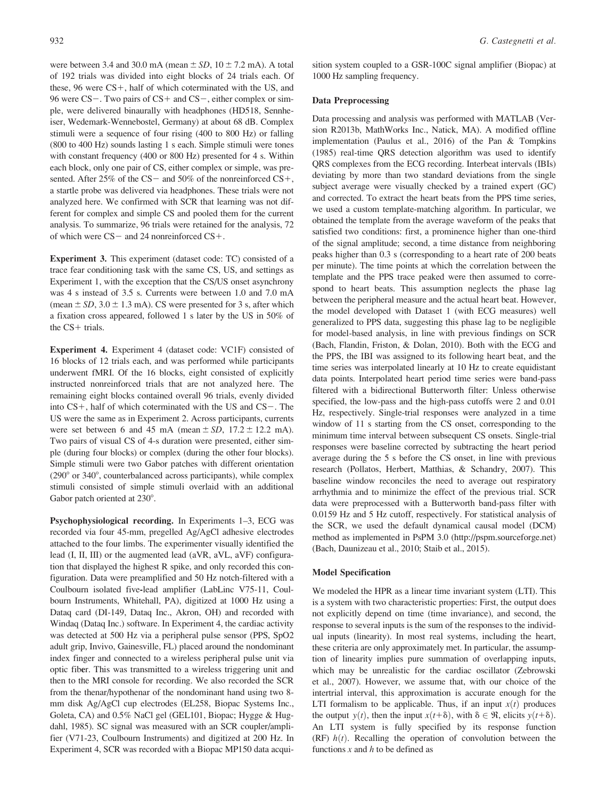were between 3.4 and 30.0 mA (mean  $\pm$  SD, 10  $\pm$  7.2 mA). A total of 192 trials was divided into eight blocks of 24 trials each. Of these,  $96$  were  $CS+$ , half of which coterminated with the US, and 96 were  $CS$  –. Two pairs of  $CS$  + and  $CS$  –, either complex or simple, were delivered binaurally with headphones (HD518, Sennheiser, Wedemark-Wennebostel, Germany) at about 68 dB. Complex stimuli were a sequence of four rising (400 to 800 Hz) or falling (800 to 400 Hz) sounds lasting 1 s each. Simple stimuli were tones with constant frequency (400 or 800 Hz) presented for 4 s. Within each block, only one pair of CS, either complex or simple, was presented. After 25% of the CS- and 50% of the nonreinforced CS+, a startle probe was delivered via headphones. These trials were not analyzed here. We confirmed with SCR that learning was not different for complex and simple CS and pooled them for the current analysis. To summarize, 96 trials were retained for the analysis, 72 of which were  $CS$  – and 24 nonreinforced  $CS$  +.

Experiment 3. This experiment (dataset code: TC) consisted of a trace fear conditioning task with the same CS, US, and settings as Experiment 1, with the exception that the CS/US onset asynchrony was 4 s instead of 3.5 s. Currents were between 1.0 and 7.0 mA (mean  $\pm$  SD, 3.0  $\pm$  1.3 mA). CS were presented for 3 s, after which a fixation cross appeared, followed 1 s later by the US in 50% of the  $CS+$  trials.

Experiment 4. Experiment 4 (dataset code: VC1F) consisted of 16 blocks of 12 trials each, and was performed while participants underwent fMRI. Of the 16 blocks, eight consisted of explicitly instructed nonreinforced trials that are not analyzed here. The remaining eight blocks contained overall 96 trials, evenly divided into  $CS+$ , half of which coterminated with the US and  $CS-$ . The US were the same as in Experiment 2. Across participants, currents were set between 6 and 45 mA (mean  $\pm SD$ , 17.2  $\pm$  12.2 mA). Two pairs of visual CS of 4-s duration were presented, either simple (during four blocks) or complex (during the other four blocks). Simple stimuli were two Gabor patches with different orientation  $(290° \text{ or } 340°)$ , counterbalanced across participants), while complex stimuli consisted of simple stimuli overlaid with an additional Gabor patch oriented at 230°.

Psychophysiological recording. In Experiments 1–3, ECG was recorded via four 45-mm, pregelled Ag/AgCl adhesive electrodes attached to the four limbs. The experimenter visually identified the lead (I, II, III) or the augmented lead (aVR, aVL, aVF) configuration that displayed the highest R spike, and only recorded this configuration. Data were preamplified and 50 Hz notch-filtered with a Coulbourn isolated five-lead amplifier (LabLinc V75-11, Coulbourn Instruments, Whitehall, PA), digitized at 1000 Hz using a Dataq card (DI-149, Dataq Inc., Akron, OH) and recorded with Windaq (Dataq Inc.) software. In Experiment 4, the cardiac activity was detected at 500 Hz via a peripheral pulse sensor (PPS, SpO2 adult grip, Invivo, Gainesville, FL) placed around the nondominant index finger and connected to a wireless peripheral pulse unit via optic fiber. This was transmitted to a wireless triggering unit and then to the MRI console for recording. We also recorded the SCR from the thenar/hypothenar of the nondominant hand using two 8 mm disk Ag/AgCl cup electrodes (EL258, Biopac Systems Inc., Goleta, CA) and 0.5% NaCl gel (GEL101, Biopac; Hygge & Hugdahl, 1985). SC signal was measured with an SCR coupler/amplifier (V71-23, Coulbourn Instruments) and digitized at 200 Hz. In Experiment 4, SCR was recorded with a Biopac MP150 data acquisition system coupled to a GSR-100C signal amplifier (Biopac) at 1000 Hz sampling frequency.

#### Data Preprocessing

Data processing and analysis was performed with MATLAB (Version R2013b, MathWorks Inc., Natick, MA). A modified offline implementation (Paulus et al., 2016) of the Pan & Tompkins (1985) real-time QRS detection algorithm was used to identify QRS complexes from the ECG recording. Interbeat intervals (IBIs) deviating by more than two standard deviations from the single subject average were visually checked by a trained expert (GC) and corrected. To extract the heart beats from the PPS time series, we used a custom template-matching algorithm. In particular, we obtained the template from the average waveform of the peaks that satisfied two conditions: first, a prominence higher than one-third of the signal amplitude; second, a time distance from neighboring peaks higher than 0.3 s (corresponding to a heart rate of 200 beats per minute). The time points at which the correlation between the template and the PPS trace peaked were then assumed to correspond to heart beats. This assumption neglects the phase lag between the peripheral measure and the actual heart beat. However, the model developed with Dataset 1 (with ECG measures) well generalized to PPS data, suggesting this phase lag to be negligible for model-based analysis, in line with previous findings on SCR (Bach, Flandin, Friston, & Dolan, 2010). Both with the ECG and the PPS, the IBI was assigned to its following heart beat, and the time series was interpolated linearly at 10 Hz to create equidistant data points. Interpolated heart period time series were band-pass filtered with a bidirectional Butterworth filter: Unless otherwise specified, the low-pass and the high-pass cutoffs were 2 and 0.01 Hz, respectively. Single-trial responses were analyzed in a time window of 11 s starting from the CS onset, corresponding to the minimum time interval between subsequent CS onsets. Single-trial responses were baseline corrected by subtracting the heart period average during the 5 s before the CS onset, in line with previous research (Pollatos, Herbert, Matthias, & Schandry, 2007). This baseline window reconciles the need to average out respiratory arrhythmia and to minimize the effect of the previous trial. SCR data were preprocessed with a Butterworth band-pass filter with 0.0159 Hz and 5 Hz cutoff, respectively. For statistical analysis of the SCR, we used the default dynamical causal model (DCM) method as implemented in PsPM 3.0 [\(http://pspm.sourceforge.net](http://pspm.sourceforge.net)) (Bach, Daunizeau et al., 2010; Staib et al., 2015).

## Model Specification

We modeled the HPR as a linear time invariant system (LTI). This is a system with two characteristic properties: First, the output does not explicitly depend on time (time invariance), and second, the response to several inputs is the sum of the responses to the individual inputs (linearity). In most real systems, including the heart, these criteria are only approximately met. In particular, the assumption of linearity implies pure summation of overlapping inputs, which may be unrealistic for the cardiac oscillator (Zebrowski et al., 2007). However, we assume that, with our choice of the intertrial interval, this approximation is accurate enough for the LTI formalism to be applicable. Thus, if an input  $x(t)$  produces the output  $y(t)$ , then the input  $x(t+\delta)$ , with  $\delta \in \mathcal{R}$ , elicits  $y(t+\delta)$ . An LTI system is fully specified by its response function (RF)  $h(t)$ . Recalling the operation of convolution between the functions  $x$  and  $h$  to be defined as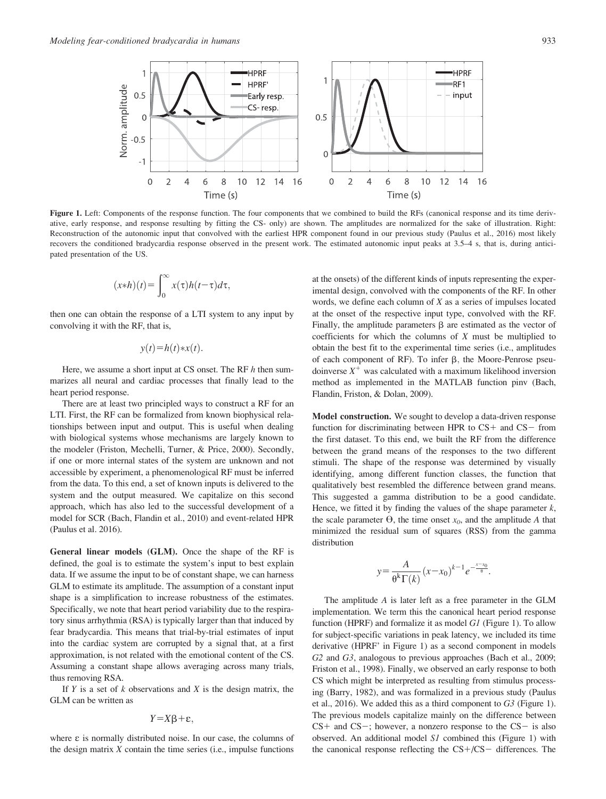

Figure 1. Left: Components of the response function. The four components that we combined to build the RFs (canonical response and its time derivative, early response, and response resulting by fitting the CS- only) are shown. The amplitudes are normalized for the sake of illustration. Right: Reconstruction of the autonomic input that convolved with the earliest HPR component found in our previous study (Paulus et al., 2016) most likely recovers the conditioned bradycardia response observed in the present work. The estimated autonomic input peaks at 3.5–4 s, that is, during anticipated presentation of the US.

$$
(x*h)(t) = \int_0^\infty x(\tau)h(t-\tau)d\tau,
$$

then one can obtain the response of a LTI system to any input by convolving it with the RF, that is,

$$
y(t)=h(t)*x(t).
$$

Here, we assume a short input at CS onset. The RF  $h$  then summarizes all neural and cardiac processes that finally lead to the heart period response.

There are at least two principled ways to construct a RF for an LTI. First, the RF can be formalized from known biophysical relationships between input and output. This is useful when dealing with biological systems whose mechanisms are largely known to the modeler (Friston, Mechelli, Turner, & Price, 2000). Secondly, if one or more internal states of the system are unknown and not accessible by experiment, a phenomenological RF must be inferred from the data. To this end, a set of known inputs is delivered to the system and the output measured. We capitalize on this second approach, which has also led to the successful development of a model for SCR (Bach, Flandin et al., 2010) and event-related HPR (Paulus et al. 2016).

General linear models (GLM). Once the shape of the RF is defined, the goal is to estimate the system's input to best explain data. If we assume the input to be of constant shape, we can harness GLM to estimate its amplitude. The assumption of a constant input shape is a simplification to increase robustness of the estimates. Specifically, we note that heart period variability due to the respiratory sinus arrhythmia (RSA) is typically larger than that induced by fear bradycardia. This means that trial-by-trial estimates of input into the cardiac system are corrupted by a signal that, at a first approximation, is not related with the emotional content of the CS. Assuming a constant shape allows averaging across many trials, thus removing RSA.

If  $Y$  is a set of  $k$  observations and  $X$  is the design matrix, the GLM can be written as

$$
Y = X\beta + \varepsilon,
$$

where  $\varepsilon$  is normally distributed noise. In our case, the columns of the design matrix  $X$  contain the time series (i.e., impulse functions at the onsets) of the different kinds of inputs representing the experimental design, convolved with the components of the RF. In other words, we define each column of  $X$  as a series of impulses located at the onset of the respective input type, convolved with the RF. Finally, the amplitude parameters  $\beta$  are estimated as the vector of coefficients for which the columns of  $X$  must be multiplied to obtain the best fit to the experimental time series (i.e., amplitudes of each component of RF). To infer  $\beta$ , the Moore-Penrose pseudoinverse  $X^+$  was calculated with a maximum likelihood inversion method as implemented in the MATLAB function pinv (Bach, Flandin, Friston, & Dolan, 2009).

Model construction. We sought to develop a data-driven response function for discriminating between HPR to  $CS+$  and  $CS-$  from the first dataset. To this end, we built the RF from the difference between the grand means of the responses to the two different stimuli. The shape of the response was determined by visually identifying, among different function classes, the function that qualitatively best resembled the difference between grand means. This suggested a gamma distribution to be a good candidate. Hence, we fitted it by finding the values of the shape parameter  $k$ , the scale parameter  $\Theta$ , the time onset  $x_0$ , and the amplitude A that minimized the residual sum of squares (RSS) from the gamma distribution

$$
y = \frac{A}{\theta^k \Gamma(k)} (x - x_0)^{k-1} e^{-\frac{x - x_0}{\theta}}.
$$

The amplitude A is later left as a free parameter in the GLM implementation. We term this the canonical heart period response function (HPRF) and formalize it as model  $GI$  (Figure 1). To allow for subject-specific variations in peak latency, we included its time derivative (HPRF' in Figure 1) as a second component in models G<sub>2</sub> and G<sub>3</sub>, analogous to previous approaches (Bach et al., 2009; Friston et al., 1998). Finally, we observed an early response to both CS which might be interpreted as resulting from stimulus processing (Barry, 1982), and was formalized in a previous study (Paulus et al., 2016). We added this as a third component to G3 (Figure 1). The previous models capitalize mainly on the difference between  $CS+$  and  $CS-$ ; however, a nonzero response to the  $CS-$  is also observed. An additional model S1 combined this (Figure 1) with the canonical response reflecting the  $CS+/CS-$  differences. The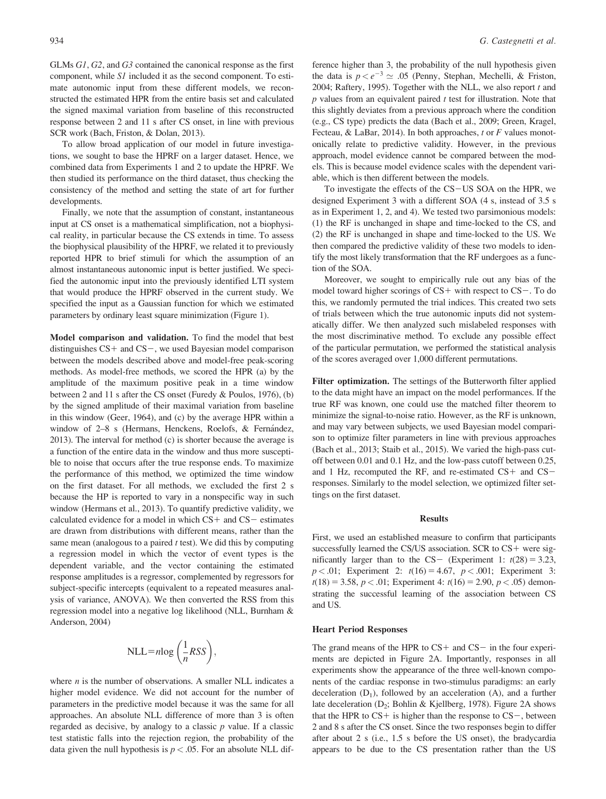GLMs G1, G2, and G3 contained the canonical response as the first component, while S1 included it as the second component. To estimate autonomic input from these different models, we reconstructed the estimated HPR from the entire basis set and calculated the signed maximal variation from baseline of this reconstructed response between 2 and 11 s after CS onset, in line with previous SCR work (Bach, Friston, & Dolan, 2013).

To allow broad application of our model in future investigations, we sought to base the HPRF on a larger dataset. Hence, we combined data from Experiments 1 and 2 to update the HPRF. We then studied its performance on the third dataset, thus checking the consistency of the method and setting the state of art for further developments.

Finally, we note that the assumption of constant, instantaneous input at CS onset is a mathematical simplification, not a biophysical reality, in particular because the CS extends in time. To assess the biophysical plausibility of the HPRF, we related it to previously reported HPR to brief stimuli for which the assumption of an almost instantaneous autonomic input is better justified. We specified the autonomic input into the previously identified LTI system that would produce the HPRF observed in the current study. We specified the input as a Gaussian function for which we estimated parameters by ordinary least square minimization (Figure 1).

Model comparison and validation. To find the model that best distinguishes  $CS+$  and  $CS-$ , we used Bayesian model comparison between the models described above and model-free peak-scoring methods. As model-free methods, we scored the HPR (a) by the amplitude of the maximum positive peak in a time window between 2 and 11 s after the CS onset (Furedy & Poulos, 1976), (b) by the signed amplitude of their maximal variation from baseline in this window (Geer, 1964), and (c) by the average HPR within a window of 2-8 s (Hermans, Henckens, Roelofs, & Fernández, 2013). The interval for method (c) is shorter because the average is a function of the entire data in the window and thus more susceptible to noise that occurs after the true response ends. To maximize the performance of this method, we optimized the time window on the first dataset. For all methods, we excluded the first 2 s because the HP is reported to vary in a nonspecific way in such window (Hermans et al., 2013). To quantify predictive validity, we calculated evidence for a model in which  $CS+$  and  $CS-$  estimates are drawn from distributions with different means, rather than the same mean (analogous to a paired  $t$  test). We did this by computing a regression model in which the vector of event types is the dependent variable, and the vector containing the estimated response amplitudes is a regressor, complemented by regressors for subject-specific intercepts (equivalent to a repeated measures analysis of variance, ANOVA). We then converted the RSS from this regression model into a negative log likelihood (NLL, Burnham & Anderson, 2004)

$$
NLL = n \log \left( \frac{1}{n} RSS \right),
$$

where  $n$  is the number of observations. A smaller NLL indicates a higher model evidence. We did not account for the number of parameters in the predictive model because it was the same for all approaches. An absolute NLL difference of more than 3 is often regarded as decisive, by analogy to a classic  $p$  value. If a classic test statistic falls into the rejection region, the probability of the data given the null hypothesis is  $p < .05$ . For an absolute NLL difference higher than 3, the probability of the null hypothesis given the data is  $p < e^{-3} \simeq .05$  (Penny, Stephan, Mechelli, & Friston, 2004; Raftery, 1995). Together with the NLL, we also report  $t$  and  $p$  values from an equivalent paired  $t$  test for illustration. Note that this slightly deviates from a previous approach where the condition (e.g., CS type) predicts the data (Bach et al., 2009; Green, Kragel, Fecteau, & LaBar, 2014). In both approaches,  $t$  or  $F$  values monotonically relate to predictive validity. However, in the previous approach, model evidence cannot be compared between the models. This is because model evidence scales with the dependent variable, which is then different between the models.

To investigate the effects of the CS-US SOA on the HPR, we designed Experiment 3 with a different SOA (4 s, instead of 3.5 s as in Experiment 1, 2, and 4). We tested two parsimonious models: (1) the RF is unchanged in shape and time-locked to the CS, and (2) the RF is unchanged in shape and time-locked to the US. We then compared the predictive validity of these two models to identify the most likely transformation that the RF undergoes as a function of the SOA.

Moreover, we sought to empirically rule out any bias of the model toward higher scorings of  $CS+$  with respect to  $CS-$ . To do this, we randomly permuted the trial indices. This created two sets of trials between which the true autonomic inputs did not systematically differ. We then analyzed such mislabeled responses with the most discriminative method. To exclude any possible effect of the particular permutation, we performed the statistical analysis of the scores averaged over 1,000 different permutations.

Filter optimization. The settings of the Butterworth filter applied to the data might have an impact on the model performances. If the true RF was known, one could use the matched filter theorem to minimize the signal-to-noise ratio. However, as the RF is unknown, and may vary between subjects, we used Bayesian model comparison to optimize filter parameters in line with previous approaches (Bach et al., 2013; Staib et al., 2015). We varied the high-pass cutoff between 0.01 and 0.1 Hz, and the low-pass cutoff between 0.25, and 1 Hz, recomputed the RF, and re-estimated  $CS+$  and  $CS$ responses. Similarly to the model selection, we optimized filter settings on the first dataset.

## Results

First, we used an established measure to confirm that participants successfully learned the CS/US association. SCR to  $CS$ + were significantly larger than to the CS- (Experiment 1:  $t(28) = 3.23$ ,  $p < .01$ ; Experiment 2:  $t(16) = 4.67$ ,  $p < .001$ ; Experiment 3:  $t(18) = 3.58, p < .01$ ; Experiment 4:  $t(16) = 2.90, p < .05$ ) demonstrating the successful learning of the association between CS and US.

## Heart Period Responses

The grand means of the HPR to  $CS+$  and  $CS-$  in the four experiments are depicted in Figure 2A. Importantly, responses in all experiments show the appearance of the three well-known components of the cardiac response in two-stimulus paradigms: an early deceleration  $(D_1)$ , followed by an acceleration  $(A)$ , and a further late deceleration  $(D_2;$  Bohlin & Kjellberg, 1978). Figure 2A shows that the HPR to  $CS+$  is higher than the response to  $CS-$ , between 2 and 8 s after the CS onset. Since the two responses begin to differ after about 2 s (i.e., 1.5 s before the US onset), the bradycardia appears to be due to the CS presentation rather than the US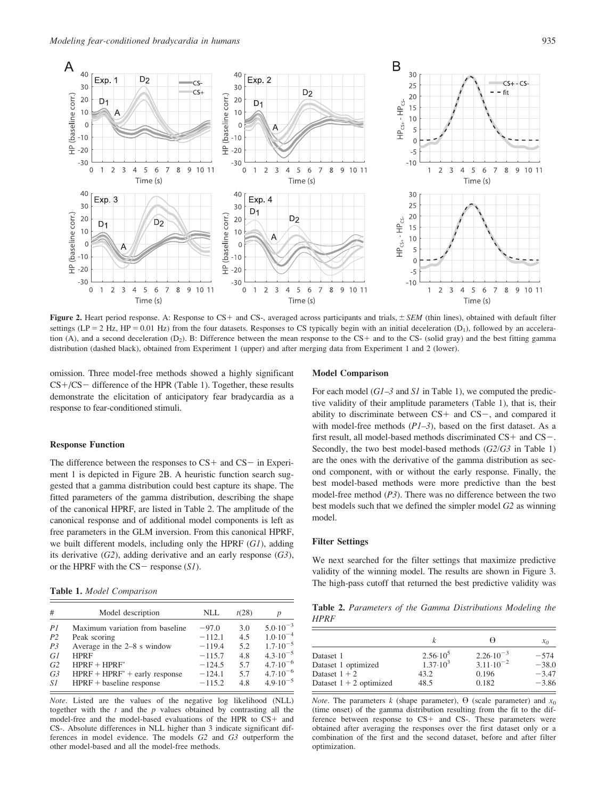

Figure 2. Heart period response. A: Response to CS+ and CS-, averaged across participants and trials,  $\pm$  SEM (thin lines), obtained with default filter settings (LP = 2 Hz, HP = 0.01 Hz) from the four datasets. Responses to CS typically begin with an initial deceleration (D<sub>1</sub>), followed by an acceleration (A), and a second deceleration  $(D_2)$ . B: Difference between the mean response to the CS+ and to the CS- (solid gray) and the best fitting gamma distribution (dashed black), obtained from Experiment 1 (upper) and after merging data from Experiment 1 and 2 (lower).

omission. Three model-free methods showed a highly significant  $CS+/CS$  difference of the HPR (Table 1). Together, these results demonstrate the elicitation of anticipatory fear bradycardia as a response to fear-conditioned stimuli.

## Response Function

The difference between the responses to  $CS+$  and  $CS-$  in Experiment 1 is depicted in Figure 2B. A heuristic function search suggested that a gamma distribution could best capture its shape. The fitted parameters of the gamma distribution, describing the shape of the canonical HPRF, are listed in Table 2. The amplitude of the canonical response and of additional model components is left as free parameters in the GLM inversion. From this canonical HPRF, we built different models, including only the HPRF  $(GI)$ , adding its derivative  $(G2)$ , adding derivative and an early response  $(G3)$ , or the HPRF with the  $CS$  - response  $(SI)$ .

| #              | Model description               | NLL      | t(28) | p                   |
|----------------|---------------------------------|----------|-------|---------------------|
| PI             | Maximum variation from baseline | $-97.0$  | 3.0   | $5.0 \cdot 10^{-3}$ |
| P <sub>2</sub> | Peak scoring                    | $-112.1$ | 4.5   | $1.0 \cdot 10^{-4}$ |
| P <sub>3</sub> | Average in the 2–8 s window     | $-119.4$ | 5.2   | $1.7 \cdot 10^{-5}$ |
| G1             | <b>HPRF</b>                     | $-115.7$ | 4.8   | $4.3 \cdot 10^{-5}$ |
| G2             | $HPRF + HPRF'$                  | $-124.5$ | 5.7   | $4.7 \cdot 10^{-6}$ |
| G <sub>3</sub> | $HPRF + HPRF' + early response$ | $-124.1$ | 5.7   | $4.7 \cdot 10^{-6}$ |
| S1             | $HPRF + baseline$ response      | $-115.2$ | 4.8   | $4.9 \cdot 10^{-5}$ |

Note. Listed are the values of the negative log likelihood (NLL) together with the  $t$  and the  $p$  values obtained by contrasting all the model-free and the model-based evaluations of the HPR to  $CS+$  and CS-. Absolute differences in NLL higher than 3 indicate significant differences in model evidence. The models G2 and G3 outperform the other model-based and all the model-free methods.

## Model Comparison

For each model  $(GI-3$  and SI in Table 1), we computed the predictive validity of their amplitude parameters (Table 1), that is, their ability to discriminate between  $CS$ + and  $CS$ -, and compared it with model-free methods  $(PI-3)$ , based on the first dataset. As a first result, all model-based methods discriminated  $CS+$  and  $CS-$ . Secondly, the two best model-based methods ( $G2/G3$  in Table 1) are the ones with the derivative of the gamma distribution as second component, with or without the early response. Finally, the best model-based methods were more predictive than the best model-free method  $(P3)$ . There was no difference between the two best models such that we defined the simpler model G2 as winning model.

## Filter Settings

We next searched for the filter settings that maximize predictive validity of the winning model. The results are shown in Figure 3. The high-pass cutoff that returned the best predictive validity was<br>Table 1. Model Comparison

Table 2. Parameters of the Gamma Distributions Modeling the HPRF

|                           |                   |                      | $x_0$   |
|---------------------------|-------------------|----------------------|---------|
| Dataset 1                 | $2.56 \cdot 10^5$ | $2.26 \cdot 10^{-3}$ | $-574$  |
| Dataset 1 optimized       | $1.37 \cdot 10^3$ | $3.11 \cdot 10^{-2}$ | $-38.0$ |
| Dataset $1 + 2$           | 43.2              | 0.196                | $-3.47$ |
| Dataset $1 + 2$ optimized | 48.5              | 0.182                | $-3.86$ |

*Note*. The parameters k (shape parameter),  $\Theta$  (scale parameter) and  $x_0$ (time onset) of the gamma distribution resulting from the fit to the difference between response to  $CS$ + and  $CS$ -. These parameters were obtained after averaging the responses over the first dataset only or a combination of the first and the second dataset, before and after filter optimization.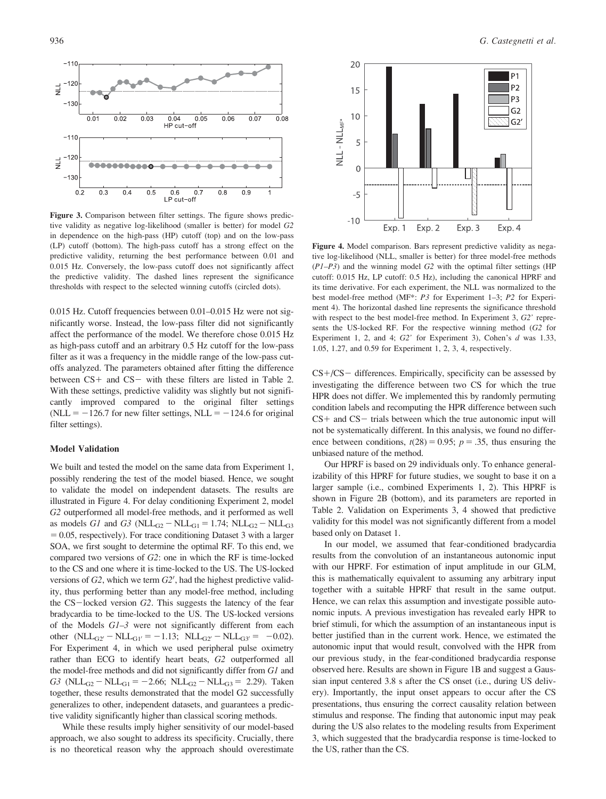

Figure 3. Comparison between filter settings. The figure shows predictive validity as negative log-likelihood (smaller is better) for model G2 in dependence on the high-pass (HP) cutoff (top) and on the low-pass (LP) cutoff (bottom). The high-pass cutoff has a strong effect on the predictive validity, returning the best performance between 0.01 and 0.015 Hz. Conversely, the low-pass cutoff does not significantly affect the predictive validity. The dashed lines represent the significance thresholds with respect to the selected winning cutoffs (circled dots).

0.015 Hz. Cutoff frequencies between 0.01–0.015 Hz were not significantly worse. Instead, the low-pass filter did not significantly affect the performance of the model. We therefore chose 0.015 Hz as high-pass cutoff and an arbitrary 0.5 Hz cutoff for the low-pass filter as it was a frequency in the middle range of the low-pass cutoffs analyzed. The parameters obtained after fitting the difference between  $CS+$  and  $CS-$  with these filters are listed in Table 2. With these settings, predictive validity was slightly but not significantly improved compared to the original filter settings (NLL =  $-126.7$  for new filter settings, NLL =  $-124.6$  for original filter settings).

#### Model Validation

We built and tested the model on the same data from Experiment 1, possibly rendering the test of the model biased. Hence, we sought to validate the model on independent datasets. The results are illustrated in Figure 4. For delay conditioning Experiment 2, model G2 outperformed all model-free methods, and it performed as well as models G1 and G3 ( $NLL_{G2} - NLL_{G1} = 1.74$ ;  $NLL_{G2} - NLL_{G3}$  $= 0.05$ , respectively). For trace conditioning Dataset 3 with a larger SOA, we first sought to determine the optimal RF. To this end, we compared two versions of G2: one in which the RF is time-locked to the CS and one where it is time-locked to the US. The US-locked versions of  $G2$ , which we term  $G2'$ , had the highest predictive validity, thus performing better than any model-free method, including the  $CS$ -locked version  $G2$ . This suggests the latency of the fear bradycardia to be time-locked to the US. The US-locked versions of the Models G1–3 were not significantly different from each other (NLL<sub>G2'</sub> - NLL<sub>G1'</sub> = -1.13; NLL<sub>G2'</sub> - NLL<sub>G3'</sub> = -0.02). For Experiment 4, in which we used peripheral pulse oximetry rather than ECG to identify heart beats, G2 outperformed all the model-free methods and did not significantly differ from G1 and  $G3$  (NLL<sub>G2</sub> – NLL<sub>G1</sub> = -2.66; NLL<sub>G2</sub> – NLL<sub>G3</sub> = 2.29). Taken together, these results demonstrated that the model G2 successfully generalizes to other, independent datasets, and guarantees a predictive validity significantly higher than classical scoring methods.

While these results imply higher sensitivity of our model-based approach, we also sought to address its specificity. Crucially, there is no theoretical reason why the approach should overestimate



Figure 4. Model comparison. Bars represent predictive validity as negative log-likelihood (NLL, smaller is better) for three model-free methods  $(P1-P3)$  and the winning model  $G2$  with the optimal filter settings (HP cutoff: 0.015 Hz, LP cutoff: 0.5 Hz), including the canonical HPRF and its time derivative. For each experiment, the NLL was normalized to the best model-free method (MF\*: P3 for Experiment 1–3; P2 for Experiment 4). The horizontal dashed line represents the significance threshold with respect to the best model-free method. In Experiment 3, G2' represents the US-locked RF. For the respective winning method (G2 for Experiment 1, 2, and 4;  $G2'$  for Experiment 3), Cohen's  $d$  was 1.33, 1.05, 1.27, and 0.59 for Experiment 1, 2, 3, 4, respectively.

 $CS+/CS-$  differences. Empirically, specificity can be assessed by investigating the difference between two CS for which the true HPR does not differ. We implemented this by randomly permuting condition labels and recomputing the HPR difference between such  $CS+$  and  $CS-$  trials between which the true autonomic input will not be systematically different. In this analysis, we found no difference between conditions,  $t(28) = 0.95$ ;  $p = .35$ , thus ensuring the unbiased nature of the method.

Our HPRF is based on 29 individuals only. To enhance generalizability of this HPRF for future studies, we sought to base it on a larger sample (i.e., combined Experiments 1, 2). This HPRF is shown in Figure 2B (bottom), and its parameters are reported in Table 2. Validation on Experiments 3, 4 showed that predictive validity for this model was not significantly different from a model based only on Dataset 1.

In our model, we assumed that fear-conditioned bradycardia results from the convolution of an instantaneous autonomic input with our HPRF. For estimation of input amplitude in our GLM, this is mathematically equivalent to assuming any arbitrary input together with a suitable HPRF that result in the same output. Hence, we can relax this assumption and investigate possible autonomic inputs. A previous investigation has revealed early HPR to brief stimuli, for which the assumption of an instantaneous input is better justified than in the current work. Hence, we estimated the autonomic input that would result, convolved with the HPR from our previous study, in the fear-conditioned bradycardia response observed here. Results are shown in Figure 1B and suggest a Gaussian input centered 3.8 s after the CS onset (i.e., during US delivery). Importantly, the input onset appears to occur after the CS presentations, thus ensuring the correct causality relation between stimulus and response. The finding that autonomic input may peak during the US also relates to the modeling results from Experiment 3, which suggested that the bradycardia response is time-locked to the US, rather than the CS.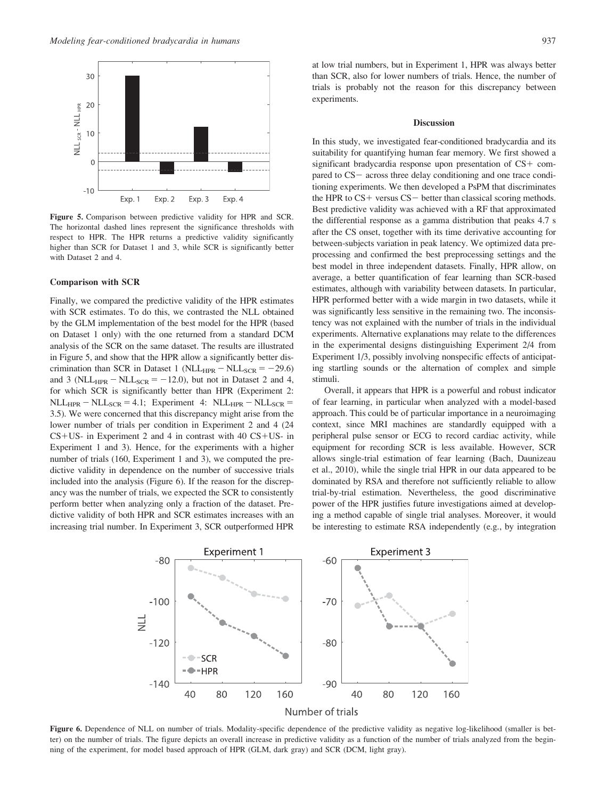

Figure 5. Comparison between predictive validity for HPR and SCR. The horizontal dashed lines represent the significance thresholds with respect to HPR. The HPR returns a predictive validity significantly higher than SCR for Dataset 1 and 3, while SCR is significantly better with Dataset 2 and 4.

#### Comparison with SCR

Finally, we compared the predictive validity of the HPR estimates with SCR estimates. To do this, we contrasted the NLL obtained by the GLM implementation of the best model for the HPR (based on Dataset 1 only) with the one returned from a standard DCM analysis of the SCR on the same dataset. The results are illustrated in Figure 5, and show that the HPR allow a significantly better discrimination than SCR in Dataset 1 (NLL<sub>HPR</sub>  $-$  NLL<sub>SCR</sub>  $= -29.6$ ) and 3 (NLL<sub>HPR</sub> – NLL<sub>SCR</sub> = -12.0), but not in Dataset 2 and 4, for which SCR is significantly better than HPR (Experiment 2:  $\n NLL_{HPR} - NLL_{SCR} = 4.1;$  Experiment 4:  $NLL_{HPR} - NLL_{SCR} =$ 3.5). We were concerned that this discrepancy might arise from the lower number of trials per condition in Experiment 2 and 4 (24  $CS+US-$  in Experiment 2 and 4 in contrast with 40  $CS+US-$  in Experiment 1 and 3). Hence, for the experiments with a higher number of trials (160, Experiment 1 and 3), we computed the predictive validity in dependence on the number of successive trials included into the analysis (Figure 6). If the reason for the discrepancy was the number of trials, we expected the SCR to consistently perform better when analyzing only a fraction of the dataset. Predictive validity of both HPR and SCR estimates increases with an increasing trial number. In Experiment 3, SCR outperformed HPR at low trial numbers, but in Experiment 1, HPR was always better than SCR, also for lower numbers of trials. Hence, the number of trials is probably not the reason for this discrepancy between experiments.

#### Discussion

In this study, we investigated fear-conditioned bradycardia and its suitability for quantifying human fear memory. We first showed a significant bradycardia response upon presentation of  $CS+$  compared to  $CS$  – across three delay conditioning and one trace conditioning experiments. We then developed a PsPM that discriminates the HPR to  $CS+$  versus  $CS-$  better than classical scoring methods. Best predictive validity was achieved with a RF that approximated the differential response as a gamma distribution that peaks 4.7 s after the CS onset, together with its time derivative accounting for between-subjects variation in peak latency. We optimized data preprocessing and confirmed the best preprocessing settings and the best model in three independent datasets. Finally, HPR allow, on average, a better quantification of fear learning than SCR-based estimates, although with variability between datasets. In particular, HPR performed better with a wide margin in two datasets, while it was significantly less sensitive in the remaining two. The inconsistency was not explained with the number of trials in the individual experiments. Alternative explanations may relate to the differences in the experimental designs distinguishing Experiment 2/4 from Experiment 1/3, possibly involving nonspecific effects of anticipating startling sounds or the alternation of complex and simple stimuli.

Overall, it appears that HPR is a powerful and robust indicator of fear learning, in particular when analyzed with a model-based approach. This could be of particular importance in a neuroimaging context, since MRI machines are standardly equipped with a peripheral pulse sensor or ECG to record cardiac activity, while equipment for recording SCR is less available. However, SCR allows single-trial estimation of fear learning (Bach, Daunizeau et al., 2010), while the single trial HPR in our data appeared to be dominated by RSA and therefore not sufficiently reliable to allow trial-by-trial estimation. Nevertheless, the good discriminative power of the HPR justifies future investigations aimed at developing a method capable of single trial analyses. Moreover, it would be interesting to estimate RSA independently (e.g., by integration



Figure 6. Dependence of NLL on number of trials. Modality-specific dependence of the predictive validity as negative log-likelihood (smaller is better) on the number of trials. The figure depicts an overall increase in predictive validity as a function of the number of trials analyzed from the beginning of the experiment, for model based approach of HPR (GLM, dark gray) and SCR (DCM, light gray).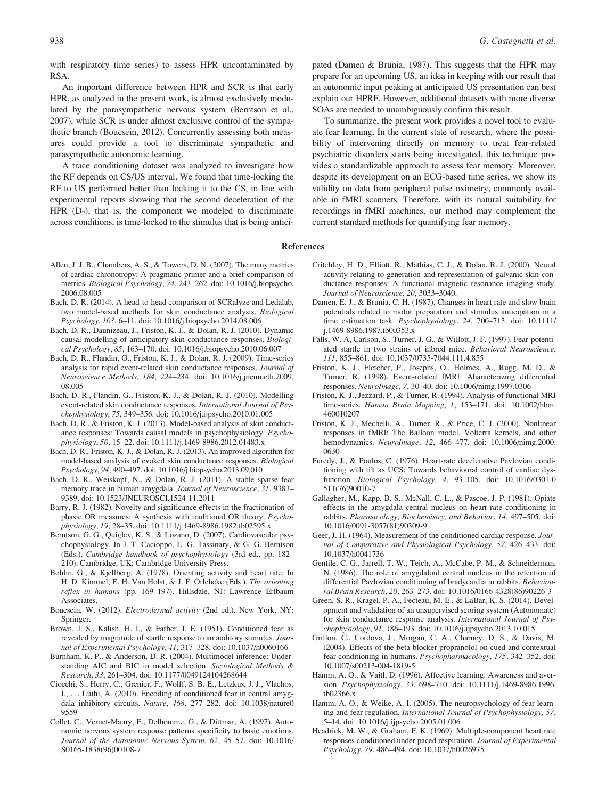with respiratory time series) to assess HPR uncontaminated by RSA.

An important difference between HPR and SCR is that early HPR, as analyzed in the present work, is almost exclusively modulated by the parasympathetic nervous system (Berntson et al., 2007), while SCR is under almost exclusive control of the sympathetic branch (Boucsein, 2012). Concurrently assessing both measures could provide a tool to discriminate sympathetic and parasympathetic autonomic learning.

A trace conditioning dataset was analyzed to investigate how the RF depends on CS/US interval. We found that time-locking the RF to US performed better than locking it to the CS, in line with experimental reports showing that the second deceleration of the HPR  $(D_2)$ , that is, the component we modeled to discriminate across conditions, is time-locked to the stimulus that is being antici-

- Allen, J. J. B., Chambers, A. S., & Towers, D. N. (2007). The many metrics of cardiac chronotropy: A pragmatic primer and a brief comparison of metrics. Biological Psychology, 74, 243–262. doi: [10.1016/j.biopsycho.](info:doi/10.1016/j.biopsycho.2006.08.005) [2006.08.005](info:doi/10.1016/j.biopsycho.2006.08.005)
- Bach, D. R. (2014). A head-to-head comparison of SCRalyze and Ledalab, two model-based methods for skin conductance analysis. Biological Psychology, 103, 6–11. doi: [10.1016/j.biopsycho.2014.08.006](info:doi/10.1016/j.biopsycho.2014.08.006)
- Bach, D. R., Daunizeau, J., Friston, K. J., & Dolan, R. J. (2010). Dynamic causal modelling of anticipatory skin conductance responses. Biological Psychology, 85, 163–170. doi: [10.1016/j.biopsycho.2010.06.007](info:doi/10.1016/j.biopsycho.2010.06.007)
- Bach, D. R., Flandin, G., Friston, K. J., & Dolan, R. J. (2009). Time-series analysis for rapid event-related skin conductance responses. Journal of Neuroscience Methods, 184, 224–234. doi: [10.1016/j.jneumeth.2009.](info:doi/10.1016/j.jneumeth.2009.08.005) [08.005](info:doi/10.1016/j.jneumeth.2009.08.005)
- Bach, D. R., Flandin, G., Friston, K. J., & Dolan, R. J. (2010). Modelling event-related skin conductance responses. International Journal of Psychophysiology, 75, 349–356. doi: [10.1016/j.ijpsycho.2010.01.005](info:doi/10.1016/j.ijpsycho.2010.01.005)
- Bach, D. R., & Friston, K. J. (2013). Model-based analysis of skin conductance responses: Towards causal models in psychophysiology. Psychophysiology, 50, 15–22. doi: [10.1111/j.1469-8986.2012.01483.x](info:doi/10.1111/j.1469-8986.2012.01483.x)
- Bach, D. R., Friston, K. J., & Dolan, R. J. (2013). An improved algorithm for model-based analysis of evoked skin conductance responses. Biological Psychology, 94, 490–497. doi: [10.1016/j.biopsycho.2013.09.010](info:doi/10.1016/j.biopsycho.2013.09.010)
- Bach, D. R., Weiskopf, N., & Dolan, R. J. (2011). A stable sparse fear memory trace in human amygdala. Journal of Neuroscience, 31, 9383– 9389. doi: [10.1523/JNEUROSCI.1524-11.2011](info:doi/10.1523/JNEUROSCI.1524-11.2011)
- Barry, R. J. (1982). Novelty and significance effects in the fractionation of phasic OR measures: A synthesis with traditional OR theory. Psychophysiology, 19, 28–35. doi: [10.1111/j.1469-8986.1982.tb02595.x](info:doi/10.1111/j.1469-8986.1982.tb02595.x)
- Berntson, G. G., Quigley, K. S., & Lozano, D. (2007). Cardiovascular psychophysiology. In J. T. Cacioppo, L. G. Tassinary, & G. G. Berntson (Eds.), Cambridge handbook of psychophysiology (3rd ed., pp. 182– 210). Cambridge, UK: Cambridge University Press.
- Bohlin, G., & Kjellberg, A. (1978). Orienting activity and heart rate. In H. D. Kimmel, E. H. Van Holst, & J. F. Orlebeke (Eds.), The orienting reflex in humans (pp. 169–197). Hillsdale, NJ: Lawrence Erlbaum Associates.
- Boucsein, W. (2012). Electrodermal activity (2nd ed.). New York, NY: Springer.
- Brown, J. S., Kalish, H. I., & Farber, I. E. (1951). Conditioned fear as revealed by magnitude of startle response to an auditory stimulus. Journal of Experimental Psychology, 41, 317–328. doi: [10.1037/h0060166](info:doi/10.1037/h0060166)
- Burnham, K. P., & Anderson, D. R. (2004). Multimodel inference: Understanding AIC and BIC in model selection. Sociological Methods & Research, 33, 261–304. doi: [10.1177/0049124104268644](info:doi/10.1177/0049124104268644)
- Ciocchi, S., Herry, C., Grenier, F., Wolff, S. B. E., Letzkus, J. J., Vlachos, I., ... Lüthi, A. (2010). Encoding of conditioned fear in central amygdala inhibitory circuits. Nature, 468, 277–282. doi: [10.1038/nature0](info:doi/10.1038/nature09559) [9559](info:doi/10.1038/nature09559)
- Collet, C., Vernet-Maury, E., Delhomme, G., & Dittmar, A. (1997). Autonomic nervous system response patterns specificity to basic emotions. Journal of the Autonomic Nervous System, 62, 45–57. doi: [10.1016/](info:doi/10.1016/S0165-1838(96)00108-7) [S0165-1838\(96\)00108-7](info:doi/10.1016/S0165-1838(96)00108-7)

pated (Damen & Brunia, 1987). This suggests that the HPR may prepare for an upcoming US, an idea in keeping with our result that an autonomic input peaking at anticipated US presentation can best explain our HPRF. However, additional datasets with more diverse SOAs are needed to unambiguously confirm this result.

To summarize, the present work provides a novel tool to evaluate fear learning. In the current state of research, where the possibility of intervening directly on memory to treat fear-related psychiatric disorders starts being investigated, this technique provides a standardizable approach to assess fear memory. Moreover, despite its development on an ECG-based time series, we show its validity on data from peripheral pulse oximetry, commonly available in fMRI scanners. Therefore, with its natural suitability for recordings in fMRI machines, our method may complement the current standard methods for quantifying fear memory.

References

- Critchley, H. D., Elliott, R., Mathias, C. J., & Dolan, R. J. (2000). Neural activity relating to generation and representation of galvanic skin conductance responses: A functional magnetic resonance imaging study. Journal of Neuroscience, 20, 3033–3040.
- Damen, E. J., & Brunia, C. H. (1987). Changes in heart rate and slow brain potentials related to motor preparation and stimulus anticipation in a time estimation task. Psychophysiology, 24, 700–713. doi: [10.1111/](info:doi/10.1111/j.1469-8986.1987.tb00353.x) [j.1469-8986.1987.tb00353.x](info:doi/10.1111/j.1469-8986.1987.tb00353.x)
- Falls, W. A, Carlson, S., Turner, J. G., & Willott, J. F. (1997). Fear-potentiated startle in two strains of inbred mice. Behavioral Neuroscience, 111, 855–861. doi: [10.1037/0735-7044.111.4.855](info:doi/10.1037/0735-7044.111.4.855)
- Friston, K. J., Fletcher, P., Josephs, O., Holmes, A., Rugg, M. D., & Turner, R. (1998). Event-related fMRI: Aharacterizing differential responses. NeuroImage, 7, 30–40. doi: [10.1006/nimg.1997.0306](info:doi/10.1006/nimg.1997.0306)
- Friston, K. J., Jezzard, P., & Turner, R. (1994). Analysis of functional MRI time-series. Human Brain Mapping, 1, 153–171. doi: [10.1002/hbm.](info:doi/10.1002/hbm.460010207) [460010207](info:doi/10.1002/hbm.460010207)
- Friston, K. J., Mechelli, A., Turner, R., & Price, C. J. (2000). Nonlinear responses in fMRI: The Balloon model, Volterra kernels, and other hemodynamics. NeuroImage, 12, 466–477. doi: [10.1006/nimg.2000.](info:doi/10.1006/nimg.2000.0630) [0630](info:doi/10.1006/nimg.2000.0630)
- Furedy, J., & Poulos, C. (1976). Heart-rate decelerative Pavlovian conditioning with tilt as UCS: Towards behavioural control of cardiac dysfunction. Biological Psychology, 4, 93–105. doi: [10.1016/0301-0](info:doi/10.1016/0301-0511(76)90010-7) [511\(76\)90010-7](info:doi/10.1016/0301-0511(76)90010-7)
- Gallagher, M., Kapp, B. S., McNall, C. L., & Pascoe, J. P. (1981). Opiate effects in the amygdala central nucleus on heart rate conditioning in rabbits. Pharmacology, Biochemistry, and Behavior, 14, 497–505. doi: [10.1016/0091-3057\(81\)90309-9](info:doi/10.1016/0091-3057(81)90309-9)
- Geer, J. H. (1964). Measurement of the conditioned cardiac response. Journal of Comparative and Physiological Psychology, 57, 426–433. doi: [10.1037/h0041736](info:doi/10.1037/h0041736)
- Gentile, C. G., Jarrell, T. W., Teich, A., McCabe, P. M., & Schneiderman, N. (1986). The role of amygdaloid central nucleus in the retention of differential Pavlovian conditioning of bradycardia in rabbits. Behavioural Brain Research, 20, 263–273. doi: [10.1016/0166-4328\(86\)90226-3](info:doi/10.1016/0166-4328(86)90226-3)
- Green, S. R., Kragel, P. A., Fecteau, M. E., & LaBar, K. S. (2014). Development and validation of an unsupervised scoring system (Autonomate) for skin conductance response analysis. International Journal of Psychophysiology, 91, 186–193. doi: [10.1016/j.ijpsycho.2013.10.015](info:doi/10.1016/j.ijpsycho.2013.10.015)
- Grillon, C., Cordova, J., Morgan, C. A., Charney, D. S., & Davis, M. (2004). Effects of the beta-blocker propranolol on cued and contextual fear conditioning in humans. Psychopharmacology, 175, 342–352. doi: [10.1007/s00213-004-1819-5](info:doi/10.1007/s00213-004-1819-5)
- Hamm, A. O., & Vaitl, D. (1996). Affective learning: Awareness and aversion. Psychophysiology, 33, 698–710. doi: [10.1111/j.1469-8986.1996.](info:doi/10.1111/j.1469-8986.1996.tb02366.x) [tb02366.x](info:doi/10.1111/j.1469-8986.1996.tb02366.x)
- Hamm, A. O., & Weike, A. I. (2005). The neuropsychology of fear learning and fear regulation. International Journal of Psychophysiology, 57, 5–14. doi: [10.1016/j.ijpsycho.2005.01.006](info:doi/10.1016/j.ijpsycho.2005.01.006)
- Headrick, M. W., & Graham, F. K. (1969). Multiple-component heart rate responses conditioned under paced respiration. Journal of Experimental Psychology, 79, 486–494. doi: [10.1037/h0026975](info:doi/10.1037/h0026975)